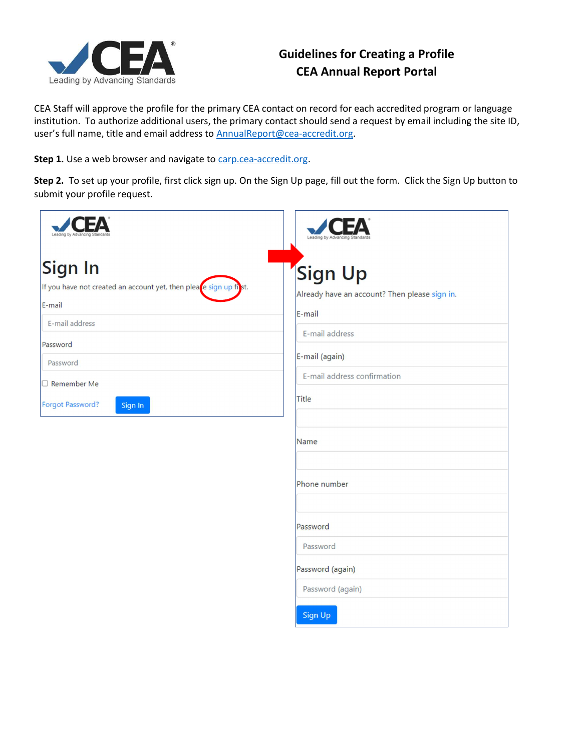

## Guidelines for Creating a Profile CEA Annual Report Portal

CEA Staff will approve the profile for the primary CEA contact on record for each accredited program or language institution. To authorize additional users, the primary contact should send a request by email including the site ID, user's full name, title and email address to **AnnualReport@cea-accredit.org**.

Step 1. Use a web browser and navigate to carp.cea-accredit.org.

Step 2. To set up your profile, first click sign up. On the Sign Up page, fill out the form. Click the Sign Up button to submit your profile request.

| Leading by Advancing Stan                                                               | Leading by Advancing Standards                                     |
|-----------------------------------------------------------------------------------------|--------------------------------------------------------------------|
| Sign In<br>If you have not created an account yet, then please sign up first.<br>E-mail | Sign Up<br>Already have an account? Then please sign in.<br>E-mail |
| E-mail address<br>Password<br>Password                                                  | E-mail address<br>E-mail (again)                                   |
| Remember Me<br>Forgot Password?<br>Sign In                                              | E-mail address confirmation<br>Title                               |
|                                                                                         | Name                                                               |

Phone number

Password

Password

Password (again)

Password (again)

Sign Up